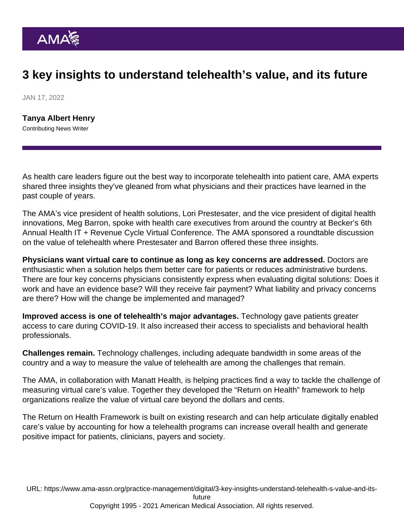## 3 key insights to understand telehealth's value, and its future

JAN 17, 2022

[Tanya Albert Henry](https://www.ama-assn.org/news-leadership-viewpoints/authors-news-leadership-viewpoints/tanya-albert-henry) Contributing News Writer

As health care leaders figure out the best way to incorporate [telehealth](https://www.ama-assn.org/topics/telehealth) into patient care, AMA experts shared three insights they've gleaned from what physicians and their practices have learned in the past couple of years.

The AMA's vice president of health solutions, Lori Prestesater, and the vice president of [digital health](https://www.ama-assn.org/practice-management/digital) innovations, Meg Barron, spoke with health care executives from around the country at Becker's 6th Annual Health IT + Revenue Cycle Virtual Conference. The AMA sponsored a roundtable discussion on the value of telehealth where Prestesater and Barron offered these [three insights.](https://www.beckershospitalreview.com/telehealth/the-value-of-telehealth-and-the-move-to-digitally-enabled-care-3-insights.html)

Physicians want virtual care to continue as long as key concerns are addressed. Doctors are enthusiastic when a solution helps them better care for patients or reduces administrative burdens. There are four key concerns physicians consistently express when evaluating digital solutions: Does it work and have an evidence base? Will they receive fair payment? What liability and privacy concerns are there? How will the change be implemented and managed?

Improved access is one of telehealth's major advantages. Technology gave patients greater access to care during COVID-19. It also increased their access to specialists and behavioral health professionals.

Challenges remain. Technology challenges, including adequate bandwidth in some areas of the country and a way to measure the value of telehealth are among the challenges that remain.

The AMA, in collaboration with Manatt Health, is helping practices find a way to tackle the challenge of measuring virtual care's value. Together they developed the ["Return on Health](http://returnonhealth.com/)" framework to help organizations realize the value of virtual care beyond the dollars and cents.

The Return on Health Framework is built on existing research and can help articulate digitally enabled care's value by accounting for how a telehealth programs can increase overall health and generate positive impact for patients, clinicians, payers and society.

URL: [https://www.ama-assn.org/practice-management/digital/3-key-insights-understand-telehealth-s-value-and-its](https://www.ama-assn.org/practice-management/digital/3-key-insights-understand-telehealth-s-value-and-its-future)[future](https://www.ama-assn.org/practice-management/digital/3-key-insights-understand-telehealth-s-value-and-its-future)